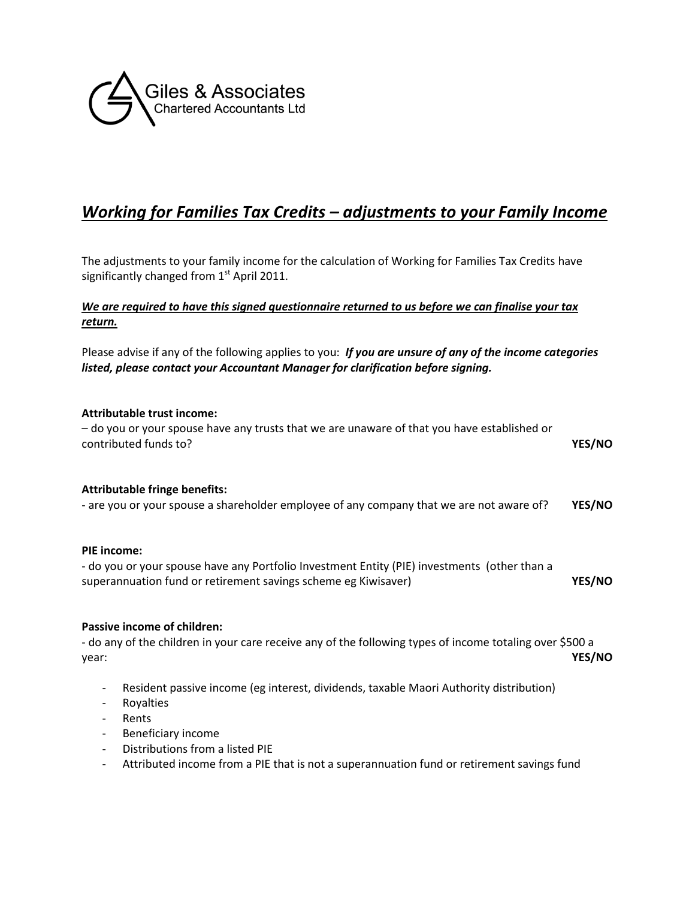

# *Working for Families Tax Credits – adjustments to your Family Income*

The adjustments to your family income for the calculation of Working for Families Tax Credits have significantly changed from  $1<sup>st</sup>$  April 2011.

## *We are required to have this signed questionnaire returned to us before we can finalise your tax return.*

Please advise if any of the following applies to you: *If you are unsure of any of the income categories listed, please contact your Accountant Manager for clarification before signing.*

### **Attributable trust income:**

– do you or your spouse have any trusts that we are unaware of that you have established or contributed funds to? **YES/NO**

#### **Attributable fringe benefits:**

- are you or your spouse a shareholder employee of any company that we are not aware of? **YES/NO**

#### **PIE income:**

- do you or your spouse have any Portfolio Investment Entity (PIE) investments (other than a superannuation fund or retirement savings scheme eg Kiwisaver) **YES/NO**

#### **Passive income of children:**

- do any of the children in your care receive any of the following types of income totaling over \$500 a year: **YES/NO**

- Resident passive income (eg interest, dividends, taxable Maori Authority distribution)
- Royalties
- **Rents**
- Beneficiary income
- Distributions from a listed PIE
- Attributed income from a PIE that is not a superannuation fund or retirement savings fund